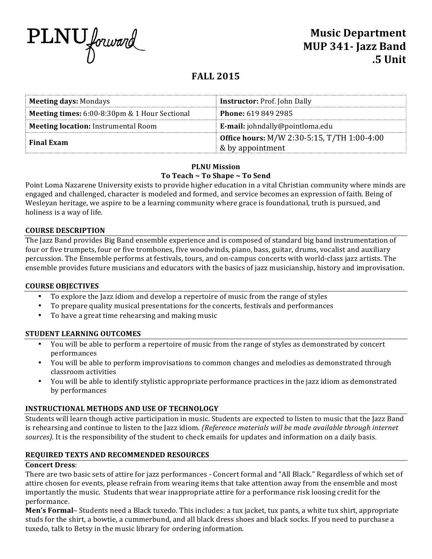

# **FALL 2015**

| <b>Meeting days: Mondays</b>                  | <b>Instructor: Prof. John Dally</b>                |  |
|-----------------------------------------------|----------------------------------------------------|--|
| Meeting times: 6:00-8:30pm & 1 Hour Sectional | <b>Phone:</b> 619 849 2985                         |  |
| <b>Meeting location:</b> Instrumental Room    | <b>E-mail:</b> johndally@pointloma.edu             |  |
| <b>Final Exam</b>                             | <b>Office hours:</b> M/W 2:30-5:15, T/TH 1:00-4:00 |  |
|                                               | & by appointment                                   |  |

# **PLNU Mission** To Teach ~ To Shape ~ To Send

Point Loma Nazarene University exists to provide higher education in a vital Christian community where minds are engaged and challenged, character is modeled and formed, and service becomes an expression of faith. Being of Wesleyan heritage, we aspire to be a learning community where grace is foundational, truth is pursued, and holiness is a way of life.

#### **COURSE DESCRIPTION**

The Jazz Band provides Big Band ensemble experience and is composed of standard big band instrumentation of four or five trumpets, four or five trombones, five woodwinds, piano, bass, guitar, drums, vocalist and auxiliary percussion. The Ensemble performs at festivals, tours, and on-campus concerts with world-class jazz artists. The ensemble provides future musicians and educators with the basics of jazz musicianship, history and improvisation.

# **COURSE OBJECTIVES**

- To explore the Jazz idiom and develop a repertoire of music from the range of styles
- To prepare quality musical presentations for the concerts, festivals and performances
- To have a great time rehearsing and making music

# **STUDENT LEARNING OUTCOMES**

- You will be able to perform a repertoire of music from the range of styles as demonstrated by concert performances
- You will be able to perform improvisations to common changes and melodies as demonstrated through classroom activities
- You will be able to identify stylistic appropriate performance practices in the jazz idiom as demonstrated by performances

# **INSTRUCTIONAL METHODS AND USE OF TECHNOLOGY**

Students will learn though active participation in music. Students are expected to listen to music that the Jazz Band is rehearsing and continue to listen to the Jazz idiom. *(Reference materials will be made available through internet* sources). It is the responsibility of the student to check emails for updates and information on a daily basis.

# **REQUIRED TEXTS AND RECOMMENDED RESOURCES**

# **Concert Dress**:

There are two basic sets of attire for jazz performances - Concert formal and "All Black." Regardless of which set of attire chosen for events, please refrain from wearing items that take attention away from the ensemble and most importantly the music. Students that wear inappropriate attire for a performance risk loosing credit for the performance. 

**Men's Formal**– Students need a Black tuxedo. This includes: a tux jacket, tux pants, a white tux shirt, appropriate studs for the shirt, a bowtie, a cummerbund, and all black dress shoes and black socks. If you need to purchase a tuxedo, talk to Betsy in the music library for ordering information.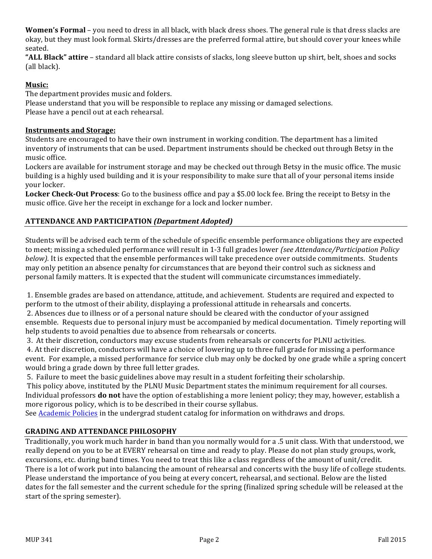**Women's Formal** – you need to dress in all black, with black dress shoes. The general rule is that dress slacks are okay, but they must look formal. Skirts/dresses are the preferred formal attire, but should cover your knees while seated. 

**"ALL Black" attire** – standard all black attire consists of slacks, long sleeve button up shirt, belt, shoes and socks (all black).

# **Music:**

The department provides music and folders.

Please understand that you will be responsible to replace any missing or damaged selections. Please have a pencil out at each rehearsal.

# **Instruments and Storage:**

Students are encouraged to have their own instrument in working condition. The department has a limited inventory of instruments that can be used. Department instruments should be checked out through Betsy in the music office. 

Lockers are available for instrument storage and may be checked out through Betsy in the music office. The music building is a highly used building and it is your responsibility to make sure that all of your personal items inside your locker.

**Locker Check-Out Process**: Go to the business office and pay a \$5.00 lock fee. Bring the receipt to Betsy in the music office. Give her the receipt in exchange for a lock and locker number.

# **ATTENDANCE AND PARTICIPATION** *(Department Adopted)*

Students will be advised each term of the schedule of specific ensemble performance obligations they are expected to meet; missing a scheduled performance will result in 1-3 full grades lower *(see Attendance/Participation Policy below).* It is expected that the ensemble performances will take precedence over outside commitments. Students may only petition an absence penalty for circumstances that are beyond their control such as sickness and personal family matters. It is expected that the student will communicate circumstances immediately.

1. Ensemble grades are based on attendance, attitude, and achievement. Students are required and expected to perform to the utmost of their ability, displaying a professional attitude in rehearsals and concerts. 2. Absences due to illness or of a personal nature should be cleared with the conductor of your assigned ensemble. Requests due to personal injury must be accompanied by medical documentation. Timely reporting will help students to avoid penalties due to absence from rehearsals or concerts.

3. At their discretion, conductors may excuse students from rehearsals or concerts for PLNU activities.

4. At their discretion, conductors will have a choice of lowering up to three full grade for missing a performance event. For example, a missed performance for service club may only be docked by one grade while a spring concert would bring a grade down by three full letter grades.

5. Failure to meet the basic guidelines above may result in a student forfeiting their scholarship.

This policy above, instituted by the PLNU Music Department states the minimum requirement for all courses. Individual professors **do not** have the option of establishing a more lenient policy; they may, however, establish a more rigorous policy, which is to be described in their course syllabus.

See Academic Policies in the undergrad student catalog for information on withdraws and drops.

# **GRADING AND ATTENDANCE PHILOSOPHY**

Traditionally, you work much harder in band than you normally would for a .5 unit class. With that understood, we really depend on you to be at EVERY rehearsal on time and ready to play. Please do not plan study groups, work, excursions, etc. during band times. You need to treat this like a class regardless of the amount of unit/credit. There is a lot of work put into balancing the amount of rehearsal and concerts with the busy life of college students. Please understand the importance of you being at every concert, rehearsal, and sectional. Below are the listed dates for the fall semester and the current schedule for the spring (finalized spring schedule will be released at the start of the spring semester).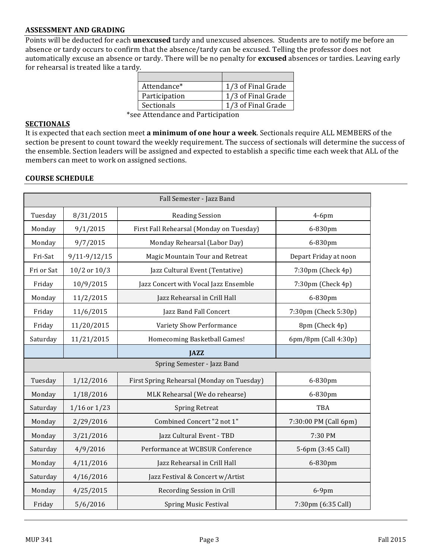#### **ASSESSMENT AND GRADING**

Points will be deducted for each *unexcused* tardy and unexcused absences. Students are to notify me before an absence or tardy occurs to confirm that the absence/tardy can be excused. Telling the professor does not automatically excuse an absence or tardy. There will be no penalty for **excused** absences or tardies. Leaving early for rehearsal is treated like a tardy.

| Attendance*       | 1/3 of Final Grade |
|-------------------|--------------------|
| Participation     | 1/3 of Final Grade |
| <b>Sectionals</b> | 1/3 of Final Grade |

\*see Attendance and Participation 

#### **SECTIONALS**

It is expected that each section meet a minimum of one hour a week. Sectionals require ALL MEMBERS of the section be present to count toward the weekly requirement. The success of sectionals will determine the success of the ensemble. Section leaders will be assigned and expected to establish a specific time each week that ALL of the members can meet to work on assigned sections.

#### **COURSE SCHEDULE**

| Fall Semester - Jazz Band   |                  |                                            |                       |
|-----------------------------|------------------|--------------------------------------------|-----------------------|
| Tuesday                     | 8/31/2015        | <b>Reading Session</b>                     | $4-6$ pm              |
| Monday                      | 9/1/2015         | First Fall Rehearsal (Monday on Tuesday)   | 6-830pm               |
| Monday                      | 9/7/2015         | Monday Rehearsal (Labor Day)               | 6-830pm               |
| Fri-Sat                     | $9/11 - 9/12/15$ | Magic Mountain Tour and Retreat            | Depart Friday at noon |
| Fri or Sat                  | $10/2$ or $10/3$ | Jazz Cultural Event (Tentative)            | 7:30pm (Check 4p)     |
| Friday                      | 10/9/2015        | Jazz Concert with Vocal Jazz Ensemble      | 7:30pm (Check 4p)     |
| Monday                      | 11/2/2015        | Jazz Rehearsal in Crill Hall               | 6-830pm               |
| Friday                      | 11/6/2015        | Jazz Band Fall Concert                     | 7:30pm (Check 5:30p)  |
| Friday                      | 11/20/2015       | Variety Show Performance                   | 8pm (Check 4p)        |
| Saturday                    | 11/21/2015       | Homecoming Basketball Games!               | 6pm/8pm (Call 4:30p)  |
|                             |                  | <b>JAZZ</b>                                |                       |
| Spring Semester - Jazz Band |                  |                                            |                       |
| Tuesday                     | 1/12/2016        | First Spring Rehearsal (Monday on Tuesday) | 6-830pm               |
| Monday                      | 1/18/2016        | MLK Rehearsal (We do rehearse)             | 6-830pm               |
| Saturday                    | $1/16$ or $1/23$ | <b>Spring Retreat</b>                      | TBA                   |
| Monday                      | 2/29/2016        | Combined Concert "2 not 1"                 | 7:30:00 PM (Call 6pm) |
| Monday                      | 3/21/2016        | Jazz Cultural Event - TBD                  | 7:30 PM               |
| Saturday                    | 4/9/2016         | Performance at WCBSUR Conference           | 5-6pm (3:45 Call)     |
| Monday                      | 4/11/2016        | Jazz Rehearsal in Crill Hall               | 6-830pm               |
| Saturday                    | 4/16/2016        | Jazz Festival & Concert w/Artist           |                       |
| Monday                      | 4/25/2015        | Recording Session in Crill                 | $6-9$ pm              |
| Friday                      | 5/6/2016         | <b>Spring Music Festival</b>               | 7:30pm (6:35 Call)    |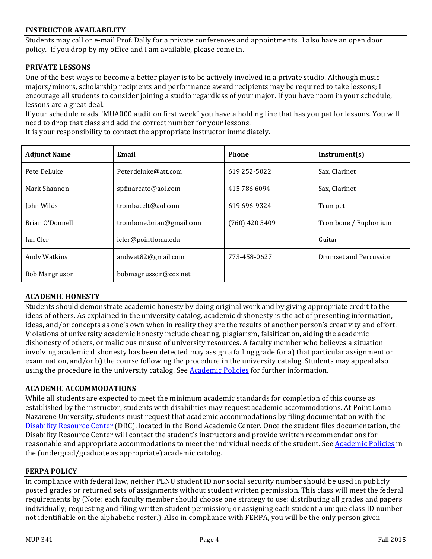#### **INSTRUCTOR AVAILABILITY**

Students may call or e-mail Prof. Dally for a private conferences and appointments. I also have an open door policy. If you drop by my office and I am available, please come in.

#### **PRIVATE LESSONS**

One of the best ways to become a better player is to be actively involved in a private studio. Although music majors/minors, scholarship recipients and performance award recipients may be required to take lessons; I encourage all students to consider joining a studio regardless of your major. If you have room in your schedule, lessons are a great deal.

If your schedule reads "MUA000 audition first week" you have a holding line that has you pat for lessons. You will need to drop that class and add the correct number for your lessons.

Brian O'Donnell **trombone.brian@gmail.com** (760) 420 5409 Trombone / Euphonium

Andy Watkins and andwat82@gmail.com 1773-458-0627 Prumset and Percussion

Adjunct Name **Email Email Phone Instrument(s)** Pete DeLuke **Peterdeluke@att.com** 619 252-5022 Sax, Clarinet Mark Shannon Sax, Clarinet Solution Spfmarcato@aol.com 19415 786 6094 Sax, Clarinet John Wilds trombacelt@aol.com 619 696-9324 Trumpet

Ian Cler icler@pointloma.edu Guitar

It is your responsibility to contact the appropriate instructor immediately.

| <b>ACADEMIC HONESTY</b> |  |
|-------------------------|--|
|                         |  |

Bob Mangnuson bobmagnusson@cox.net

Students should demonstrate academic honesty by doing original work and by giving appropriate credit to the ideas of others. As explained in the university catalog, academic dishonesty is the act of presenting information, ideas, and/or concepts as one's own when in reality they are the results of another person's creativity and effort. Violations of university academic honesty include cheating, plagiarism, falsification, aiding the academic dishonesty of others, or malicious misuse of university resources. A faculty member who believes a situation involving academic dishonesty has been detected may assign a failing grade for a) that particular assignment or examination, and/or b) the course following the procedure in the university catalog. Students may appeal also using the procedure in the university catalog. See Academic Policies for further information.

#### **ACADEMIC ACCOMMODATIONS**

While all students are expected to meet the minimum academic standards for completion of this course as established by the instructor, students with disabilities may request academic accommodations. At Point Loma Nazarene University, students must request that academic accommodations by filing documentation with the Disability Resource Center (DRC), located in the Bond Academic Center. Once the student files documentation, the Disability Resource Center will contact the student's instructors and provide written recommendations for reasonable and appropriate accommodations to meet the individual needs of the student. See Academic Policies in the (undergrad/graduate as appropriate) academic catalog.

#### **FERPA POLICY**

In compliance with federal law, neither PLNU student ID nor social security number should be used in publicly posted grades or returned sets of assignments without student written permission. This class will meet the federal requirements by (Note: each faculty member should choose one strategy to use: distributing all grades and papers individually; requesting and filing written student permission; or assigning each student a unique class ID number not identifiable on the alphabetic roster.). Also in compliance with FERPA, you will be the only person given